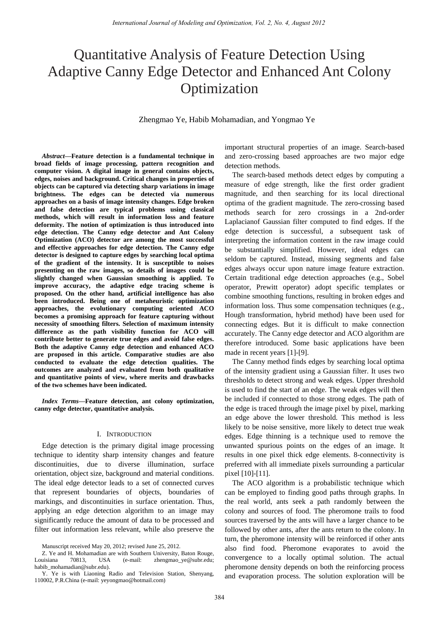# Quantitative Analysis of Feature Detection Using Adaptive Canny Edge Detector and Enhanced Ant Colony Optimization

Zhengmao Ye, Habib Mohamadian, and Yongmao Ye

*Abstract***—Feature detection is a fundamental technique in broad fields of image processing, pattern recognition and computer vision. A digital image in general contains objects, edges, noises and background. Critical changes in properties of objects can be captured via detecting sharp variations in image brightness. The edges can be detected via numerous approaches on a basis of image intensity changes. Edge broken and false detection are typical problems using classical methods, which will result in information loss and feature deformity. The notion of optimization is thus introduced into edge detection. The Canny edge detector and Ant Colony Optimization (ACO) detector are among the most successful and effective approaches for edge detection. The Canny edge detector is designed to capture edges by searching local optima of the gradient of the intensity. It is susceptible to noises presenting on the raw images, so details of images could be slightly changed when Gaussian smoothing is applied. To improve accuracy, the adaptive edge tracing scheme is proposed. On the other hand, artificial intelligence has also been introduced. Being one of metaheuristic optimization approaches, the evolutionary computing oriented ACO becomes a promising approach for feature capturing without necessity of smoothing filters. Selection of maximum intensity difference as the path visibility function for ACO will contribute better to generate true edges and avoid false edges. Both the adaptive Canny edge detection and enhanced ACO are proposed in this article. Comparative studies are also conducted to evaluate the edge detection qualities. The outcomes are analyzed and evaluated from both qualitative and quantitative points of view, where merits and drawbacks of the two schemes have been indicated.** 

*Index Terms***—Feature detection, ant colony optimization, canny edge detector, quantitative analysis.** 

# I. INTRODUCTION

Edge detection is the primary digital image processing technique to identity sharp intensity changes and feature discontinuities, due to diverse illumination, surface orientation, object size, background and material conditions. The ideal edge detector leads to a set of connected curves that represent boundaries of objects, boundaries of markings, and discontinuities in surface orientation. Thus, applying an edge detection algorithm to an image may significantly reduce the amount of data to be processed and filter out information less relevant, while also preserve the

Z. Ye and H. Mohamadian are with Southern University, Baton Rouge, Louisiana 70813, USA (e-mail: zhengmao\_ye@subr.edu; habib\_mohamadian@subr.edu).

important structural properties of an image. Search-based and zero-crossing based approaches are two major edge detection methods.

The search-based methods detect edges by computing a measure of edge strength, like the first order gradient magnitude, and then searching for its local directional optima of the gradient magnitude. The zero-crossing based methods search for zero crossings in a 2nd-order Laplacianof Gaussian filter computed to find edges. If the edge detection is successful, a subsequent task of interpreting the information content in the raw image could be substantially simplified. However, ideal edges can seldom be captured. Instead, missing segments and false edges always occur upon nature image feature extraction. Certain traditional edge detection approaches (e.g., Sobel operator, Prewitt operator) adopt specific templates or combine smoothing functions, resulting in broken edges and information loss. Thus some compensation techniques (e.g., Hough transformation, hybrid method) have been used for connecting edges. But it is difficult to make connection accurately. The Canny edge detector and ACO algorithm are therefore introduced. Some basic applications have been made in recent years [1]-[9].

The Canny method finds edges by searching local optima of the intensity gradient using a Gaussian filter. It uses two thresholds to detect strong and weak edges. Upper threshold is used to find the start of an edge. The weak edges will then be included if connected to those strong edges. The path of the edge is traced through the image pixel by pixel, marking an edge above the lower threshold. This method is less likely to be noise sensitive, more likely to detect true weak edges. Edge thinning is a technique used to remove the unwanted spurious points on the edges of an image. It results in one pixel thick edge elements. 8-connectivity is preferred with all immediate pixels surrounding a particular pixel [10]-[11].

The ACO algorithm is a probabilistic technique which can be employed to finding good paths through graphs. In the real world, ants seek a path randomly between the colony and sources of food. The pheromone trails to food sources traversed by the ants will have a larger chance to be followed by other ants, after the ants return to the colony. In turn, the pheromone intensity will be reinforced if other ants also find food. Pheromone evaporates to avoid the convergence to a locally optimal solution. The actual pheromone density depends on both the reinforcing process and evaporation process. The solution exploration will be

Manuscript received May 20, 2012; revised June 25, 2012.

Y. Ye is with Liaoning Radio and Television Station, Shenyang, 110002, P.R.China (e-mail: yeyongmao@hotmail.com)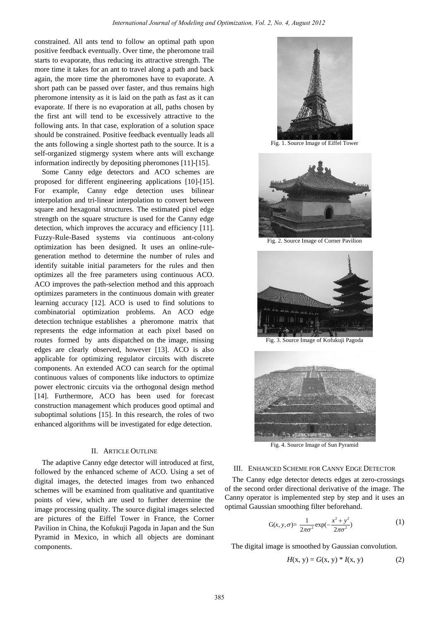constrained. All ants tend to follow an optimal path upon positive feedback eventually. Over time, the pheromone trail starts to evaporate, thus reducing its attractive strength. The more time it takes for an ant to travel along a path and back again, the more time the pheromones have to evaporate. A short path can be passed over faster, and thus remains high pheromone intensity as it is laid on the path as fast as it can evaporate. If there is no evaporation at all, paths chosen by the first ant will tend to be excessively attractive to the following ants. In that case, exploration of a solution space should be constrained. Positive feedback eventually leads all the ants following a single shortest path to the source. It is a self-organized stigmergy system where ants will exchange information indirectly by depositing pheromones [11]-[15].

Some Canny edge detectors and ACO schemes are proposed for different engineering applications [10]-[15]. For example, Canny edge detection uses bilinear interpolation and tri-linear interpolation to convert between square and hexagonal structures. The estimated pixel edge strength on the square structure is used for the Canny edge detection, which improves the accuracy and efficiency [11]. Fuzzy-Rule-Based systems via continuous ant-colony optimization has been designed. It uses an online-rulegeneration method to determine the number of rules and identify suitable initial parameters for the rules and then optimizes all the free parameters using continuous ACO. ACO improves the path-selection method and this approach optimizes parameters in the continuous domain with greater learning accuracy [12]. ACO is used to find solutions to combinatorial optimization problems. An ACO edge detection technique establishes a pheromone matrix that represents the edge information at each pixel based on routes formed by ants dispatched on the image, missing edges are clearly observed, however [13]. ACO is also applicable for optimizing regulator circuits with discrete components. An extended ACO can search for the optimal continuous values of components like inductors to optimize power electronic circuits via the orthogonal design method [14]. Furthermore, ACO has been used for forecast construction management which produces good optimal and suboptimal solutions [15]. In this research, the roles of two enhanced algorithms will be investigated for edge detection.

# II. ARTICLE OUTLINE

The adaptive Canny edge detector will introduced at first, followed by the enhanced scheme of ACO. Using a set of digital images, the detected images from two enhanced schemes will be examined from qualitative and quantitative points of view, which are used to further determine the image processing quality. The source digital images selected are pictures of the Eiffel Tower in France, the Corner Pavilion in China, the Kofukuji Pagoda in Japan and the Sun Pyramid in Mexico, in which all objects are dominant components.



Fig. 1. Source Image of Eiffel Tower



Fig. 2. Source Image of Corner Pavilion



Fig. 3. Source Image of Kofukuji Pagoda



Fig. 4. Source Image of Sun Pyramid

### III. ENHANCED SCHEME FOR CANNY EDGE DETECTOR

The Canny edge detector detects edges at zero-crossings of the second order directional derivative of the image. The Canny operator is implemented step by step and it uses an optimal Gaussian smoothing filter beforehand.

$$
G(x, y, \sigma) = \frac{1}{2\pi\sigma^2} \exp(-\frac{x^2 + y^2}{2\pi\sigma^2})
$$
 (1)

The digital image is smoothed by Gaussian convolution.

$$
H(x, y) = G(x, y) * I(x, y)
$$
 (2)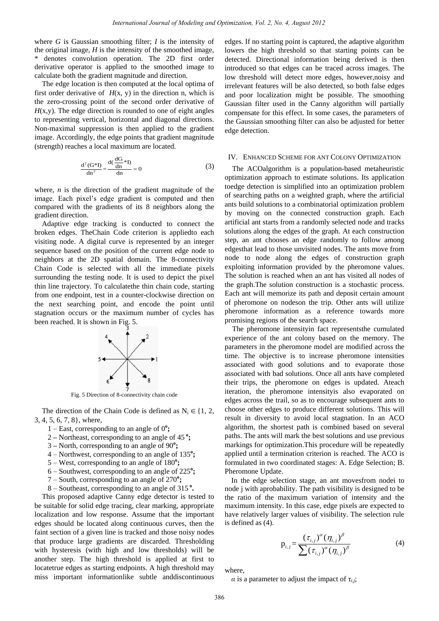where *G* is Gaussian smoothing filter; *I* is the intensity of the original image, *H* is the intensity of the smoothed image, denotes convolution operation. The 2D first order derivative operator is applied to the smoothed image to calculate both the gradient magnitude and direction.

The edge location is then computed at the local optima of first order derivative of  $H(x, y)$  in the direction n, which is the zero-crossing point of the second order derivative of *H*(x,y). The edge direction is rounded to one of eight angles to representing vertical, horizontal and diagonal directions. Non-maximal suppression is then applied to the gradient image. Accordingly, the edge points that gradient magnitude (strength) reaches a local maximum are located.

$$
\frac{d^2(G^*I)}{dn^2} = \frac{d(\frac{dG}{dn}^*I)}{dn} = 0
$$
 (3)

where, *n* is the direction of the gradient magnitude of the image. Each pixel's edge gradient is computed and then compared with the gradients of its 8 neighbors along the gradient direction.

Adaptive edge tracking is conducted to connect the broken edges. TheChain Code criterion is appliedto each visiting node. A digital curve is represented by an integer sequence based on the position of the current edge node to neighbors at the 2D spatial domain. The 8-connectivity Chain Code is selected with all the immediate pixels surrounding the testing node. It is used to depict the pixel thin line trajectory. To calculatethe thin chain code, starting from one endpoint, test in a counter-clockwise direction on the next searching point, and encode the point until stagnation occurs or the maximum number of cycles has been reached. It is shown in Fig. 5.



Fig. 5 Direction of 8-connectivity chain code

The direction of the Chain Code is defined as  $N_i \in \{1, 2, \ldots\}$ 3, 4, 5, 6, 7, 8}, where,

- 1 East, corresponding to an angle of 0**<sup>o</sup> ;**
- 2 **–** Northeast, corresponding to an angle of 45**<sup>o</sup>;**
- 3 **–** North, corresponding to an angle of 90**<sup>o</sup> ;**
- 4 Northwest, corresponding to an angle of 135**<sup>o</sup> ;**
- 5 West, corresponding to an angle of 180**<sup>o</sup> ;**
- 6 Southwest, corresponding to an angle of 225**<sup>o</sup> ;**
- 7 South, corresponding to an angle of 270**<sup>o</sup> ;**
- 8 Southeast, corresponding to an angle of 315**<sup>o</sup> .**

This proposed adaptive Canny edge detector is tested to be suitable for solid edge tracing, clear marking, appropriate localization and low response. Assume that the important edges should be located along continuous curves, then the faint section of a given line is tracked and those noisy nodes that produce large gradients are discarded. Thresholding with hysteresis (with high and low thresholds) will be another step. The high threshold is applied at first to locatetrue edges as starting endpoints. A high threshold may miss important informationlike subtle anddiscontinuous edges. If no starting point is captured, the adaptive algorithm lowers the high threshold so that starting points can be detected. Directional information being derived is then introduced so that edges can be traced across images. The low threshold will detect more edges, however,noisy and irrelevant features will be also detected, so both false edges and poor localization might be possible. The smoothing Gaussian filter used in the Canny algorithm will partially compensate for this effect. In some cases, the parameters of the Gaussian smoothing filter can also be adjusted for better edge detection.

# IV. ENHANCED SCHEME FOR ANT COLONY OPTIMIZATION

The ACOalgorithm is a population-based metaheuristic optimization approach to estimate solutions. Its application toedge detection is simplified into an optimization problem of searching paths on a weighted graph, where the artificial ants build solutions to a combinatorial optimization problem by moving on the connected construction graph. Each artificial ant starts from a randomly selected node and tracks solutions along the edges of the graph. At each construction step, an ant chooses an edge randomly to follow among edgesthat lead to those unvisited nodes. The ants move from node to node along the edges of construction graph exploiting information provided by the pheromone values. The solution is reached when an ant has visited all nodes of the graph.The solution construction is a stochastic process. Each ant will memorize its path and deposit certain amount of pheromone on nodeson the trip. Other ants will utilize pheromone information as a reference towards more promising regions of the search space.

The pheromone intensityin fact representsthe cumulated experience of the ant colony based on the memory. The parameters in the pheromone model are modified across the time. The objective is to increase pheromone intensities associated with good solutions and to evaporate those associated with bad solutions. Once all ants have completed their trips, the pheromone on edges is updated. Ateach iteration, the pheromone intensityis also evaporated on edges across the trail, so as to encourage subsequent ants to choose other edges to produce different solutions. This will result in diversity to avoid local stagnation. In an ACO algorithm, the shortest path is combined based on several paths. The ants will mark the best solutions and use previous markings for optimization.This procedure will be repeatedly applied until a termination criterion is reached. The ACO is formulated in two coordinated stages: A. Edge Selection; B. Pheromone Update.

In the edge selection stage, an ant movesfrom nodei to node j with aprobability. The path visibility is designed to be the ratio of the maximum variation of intensity and the maximum intensity. In this case, edge pixels are expected to have relatively larger values of visibility. The selection rule is defined as (4).

$$
p_{i,j} = \frac{(\tau_{i,j})^{\alpha} (\eta_{i,j})^{\beta}}{\sum (\tau_{i,j})^{\alpha} (\eta_{i,j})^{\beta}}
$$
(4)

where,

*α* is a parameter to adjust the impact of  $\tau_{i,j}$ ;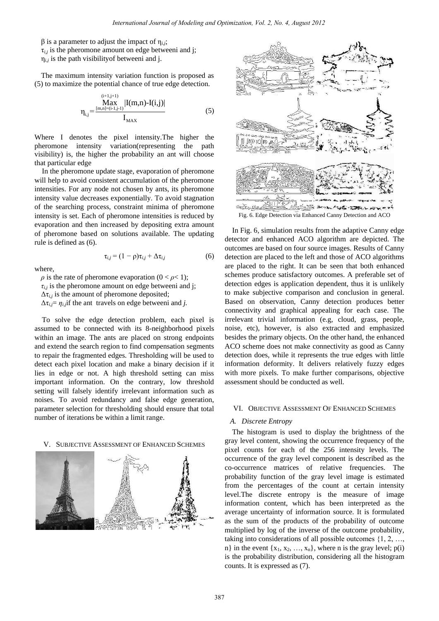$β$  is a parameter to adjust the impact of  $η<sub>i,j</sub>$ ;  $\tau_{i,j}$  is the pheromone amount on edge betweeni and j; η*i*,*j* is the path visibilityof betweeni and j.

 $\lambda$  is the  $\lambda$ 

The maximum intensity variation function is proposed as (5) to maximize the potential chance of true edge detection.

$$
\eta_{i,j} = \frac{\text{Max}}{\text{Max}} \frac{|I(m,n) - I(i,j)|}{I_{MAX}}
$$
(5)

Where I denotes the pixel intensity.The higher the pheromone intensity variation(representing the path visibility) is, the higher the probability an ant will choose that particular edge

In the pheromone update stage, evaporation of pheromone will help to avoid consistent accumulation of the pheromone intensities. For any node not chosen by ants, its pheromone intensity value decreases exponentially. To avoid stagnation of the searching process, constraint minima of pheromone intensity is set. Each of pheromone intensities is reduced by evaporation and then increased by depositing extra amount of pheromone based on solutions available. The updating rule is defined as (6).

$$
\tau_{i,j} = (1 - \rho)\tau_{i,j} + \Delta\tau_{i,j} \tag{6}
$$

where,

 $\rho$  is the rate of pheromone evaporation (0 <  $\rho$  < 1);  $\tau_{i,j}$  is the pheromone amount on edge betweeni and j;  $\Delta \tau_{i,j}$  is the amount of pheromone deposited;  $\Delta \tau_{i,j} = \eta_{i,j}$  if the ant travels on edge betweeni and *j*.

To solve the edge detection problem, each pixel is assumed to be connected with its 8-neighborhood pixels within an image. The ants are placed on strong endpoints and extend the search region to find compensation segments to repair the fragmented edges. Thresholding will be used to detect each pixel location and make a binary decision if it lies in edge or not. A high threshold setting can miss important information. On the contrary, low threshold setting will falsely identify irrelevant information such as noises. To avoid redundancy and false edge generation, parameter selection for thresholding should ensure that total number of iterations be within a limit range.

#### V. SUBJECTIVE ASSESSMENT OF ENHANCED SCHEMES





Fig. 6. Edge Detection via Enhanced Canny Detection and ACO

In Fig. 6, simulation results from the adaptive Canny edge detector and enhanced ACO algorithm are depicted. The outcomes are based on four source images. Results of Canny detection are placed to the left and those of ACO algorithms are placed to the right. It can be seen that both enhanced schemes produce satisfactory outcomes. A preferable set of detection edges is application dependent, thus it is unlikely to make subjective comparison and conclusion in general. Based on observation, Canny detection produces better connectivity and graphical appealing for each case. The irrelevant trivial information (e.g, cloud, grass, people, noise, etc), however, is also extracted and emphasized besides the primary objects. On the other hand, the enhanced ACO scheme does not make connectivity as good as Canny detection does, while it represents the true edges with little information deformity. It delivers relatively fuzzy edges with more pixels. To make further comparisons, objective assessment should be conducted as well.

# VI. OBJECTIVE ASSESSMENT OF ENHANCED SCHEMES

#### *A. Discrete Entropy*

The histogram is used to display the brightness of the gray level content, showing the occurrence frequency of the pixel counts for each of the 256 intensity levels. The occurrence of the gray level component is described as the co-occurrence matrices of relative frequencies. The probability function of the gray level image is estimated from the percentages of the count at certain intensity level.The discrete entropy is the measure of image information content, which has been interpreted as the average uncertainty of information source. It is formulated as the sum of the products of the probability of outcome multiplied by log of the inverse of the outcome probability, taking into considerations of all possible outcomes {1, 2, …, n} in the event  $\{x_1, x_2, ..., x_n\}$ , where n is the gray level;  $p(i)$ is the probability distribution, considering all the histogram counts. It is expressed as (7).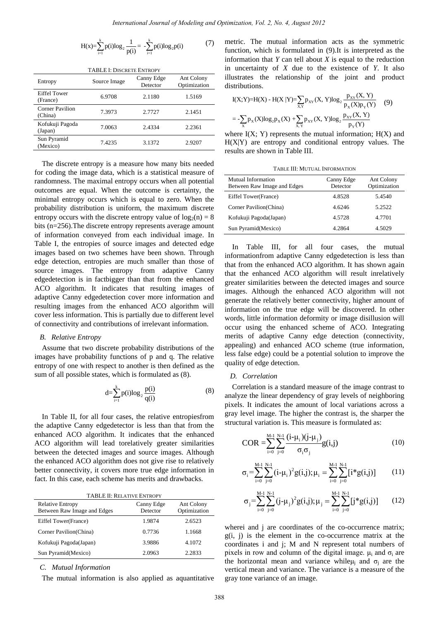$$
H(x) = \sum_{i=1}^{k} p(i) \log_2 \frac{1}{p(i)} = -\sum_{i=1}^{k} p(i) \log_2 p(i)
$$
 (7)

| <b>TABLE I: DISCRETE ENTROPY</b>  |              |                        |                            |
|-----------------------------------|--------------|------------------------|----------------------------|
| Entropy                           | Source Image | Canny Edge<br>Detector | Ant Colony<br>Optimization |
| Eiffel Tower<br>(France)          | 6.9708       | 2.1180                 | 1.5169                     |
| <b>Corner Pavilion</b><br>(China) | 7.3973       | 2.7727                 | 2.1451                     |
| Kofukuji Pagoda<br>(Japan)        | 7.0063       | 2.4334                 | 2.2361                     |
| Sun Pyramid<br>(Mexico)           | 7.4235       | 3.1372                 | 2.9207                     |

The discrete entropy is a measure how many bits needed for coding the image data, which is a statistical measure of randomness. The maximal entropy occurs when all potential outcomes are equal. When the outcome is certainty, the minimal entropy occurs which is equal to zero. When the probability distribution is uniform, the maximum discrete entropy occurs with the discrete entropy value of  $log_2(n) = 8$ bits (n=256).The discrete entropy represents average amount of information conveyed from each individual image. In Table I, the entropies of source images and detected edge images based on two schemes have been shown. Through edge detection, entropies are much smaller than those of source images. The entropy from adaptive Canny edgedetection is in factbigger than that from the enhanced ACO algorithm. It indicates that resulting images of adaptive Canny edgedetection cover more information and resulting images from the enhanced ACO algorithm will cover less information. This is partially due to different level of connectivity and contributions of irrelevant information.

# *B. Relative Entropy*

Assume that two discrete probability distributions of the images have probability functions of p and q. The relative entropy of one with respect to another is then defined as the sum of all possible states, which is formulated as (8).

$$
d = \sum_{i=1}^{k} p(i) \log_2 \frac{p(i)}{q(i)} \tag{8}
$$

In Table II, for all four cases, the relative entropiesfrom the adaptive Canny edgedetector is less than that from the enhanced ACO algorithm. It indicates that the enhanced ACO algorithm will lead torelatively greater similarities between the detected images and source images. Although the enhanced ACO algorithm does not give rise to relatively better connectivity, it covers more true edge information in fact. In this case, each scheme has merits and drawbacks.

| <b>TABLE II: RELATIVE ENTROPY</b>                      |                        |                            |  |
|--------------------------------------------------------|------------------------|----------------------------|--|
| <b>Relative Entropy</b><br>Between Raw Image and Edges | Canny Edge<br>Detector | Ant Colony<br>Optimization |  |
| Eiffel Tower(France)                                   | 1.9874                 | 2.6523                     |  |
| Corner Pavilion (China)                                | 0.7736                 | 1.1668                     |  |
| Kofukuji Pagoda(Japan)                                 | 3.9886                 | 4.1072                     |  |
| Sun Pyramid(Mexico)                                    | 2.0963                 | 2.2833                     |  |
|                                                        |                        |                            |  |

*C. Mutual Information* 

The mutual information is also applied as aquantitative

metric. The mutual information acts as the symmetric function, which is formulated in (9).It is interpreted as the information that *Y* can tell about *X* is equal to the reduction in uncertainty of *X* due to the existence of *Y*. It also illustrates the relationship of the joint and product distributions.<br>  $I(X;Y)=H(X) - H(X|Y) = \sum_{x,y} p_{XY}(X, Y) \log_2 \frac{p_{XY}(X, Y)}{p_{Y}(X)p_{Y}(Y)}$  (9) distributions.

$$
I(X;Y)=H(X) - H(X | Y) = \sum_{X,Y} p_{XY}(X,Y) \log_2 \frac{p_{XY}(X,Y)}{p_X(X)p_Y(Y)}
$$
(9)  
= 
$$
-\sum_{X} p_X(X) \log_2 p_X(X) + \sum_{X,Y} p_{XY}(X,Y) \log_2 \frac{p_{XY}(X,Y)}{p_Y(Y)}
$$

where  $I(X; Y)$  represents the mutual information;  $H(X)$  and  $H(X|Y)$  are entropy and conditional entropy values. The results are shown in Table III.

TABLE III: MUTUAL INFORMATION

| Mutual Information<br>Between Raw Image and Edges | Canny Edge<br>Detector | Ant Colony<br>Optimization |
|---------------------------------------------------|------------------------|----------------------------|
| Eiffel Tower(France)                              | 4.8528                 | 5.4540                     |
| Corner Pavilion(China)                            | 4.6246                 | 5.2522                     |
| Kofukuji Pagoda(Japan)                            | 4.5728                 | 4.7701                     |
| Sun Pyramid(Mexico)                               | 4.2864                 | 4.5029                     |

In Table III, for all four cases, the mutual informationfrom adaptive Canny edgedetection is less than that from the enhanced ACO algorithm. It has shown again that the enhanced ACO algorithm will result inrelatively greater similarities between the detected images and source images. Although the enhanced ACO algorithm will not generate the relatively better connectivity, higher amount of information on the true edge will be discovered. In other words, little information deformity or image disillusion will occur using the enhanced scheme of ACO. Integrating merits of adaptive Canny edge detection (connectivity, appealing) and enhanced ACO scheme (true information, less false edge) could be a potential solution to improve the quality of edge detection.

# *D. Correlation*

Correlation is a standard measure of the image contrast to analyze the linear dependency of gray levels of neighboring pixels. It indicates the amount of local variations across a gray level image. The higher the contrast is, the sharper the structural variation is. This measure is formulated as:

COR = 
$$
\sum_{i=0}^{M-1} \sum_{j=0}^{N-1} \frac{(i-\mu_i)(j-\mu_j)}{\sigma_i \sigma_j} g(i,j)
$$
 (10)

$$
\sigma_{i} = \sum_{i=0}^{M-1} \sum_{j=0}^{N-1} (i - \mu_{i})^{2} g(i,j); \mu_{i} = \sum_{i=0}^{M-1} \sum_{j=0}^{N-1} [i * g(i,j)] \qquad (11)
$$

$$
\overline{\mathfrak{r}}_{\mathfrak{j}} = \sum_{i=0}^{M-1} \sum_{j=0}^{N-1} (j - \mu_j)^2 g(i,j); \mu_j = \sum_{i=0}^{M-1} \sum_{j=0}^{N-1} [j * g(i,j)] \qquad (12)
$$

wherei and j are coordinates of the co-occurrence matrix;  $g(i, j)$  is the element in the co-occurrence matrix at the coordinates i and j; M and N represent total numbers of pixels in row and column of the digital image.  $\mu_i$  and  $\sigma_i$  are the horizontal mean and variance while  $\mu_j$  and  $\sigma_j$  are the vertical mean and variance. The variance is a measure of the gray tone variance of an image.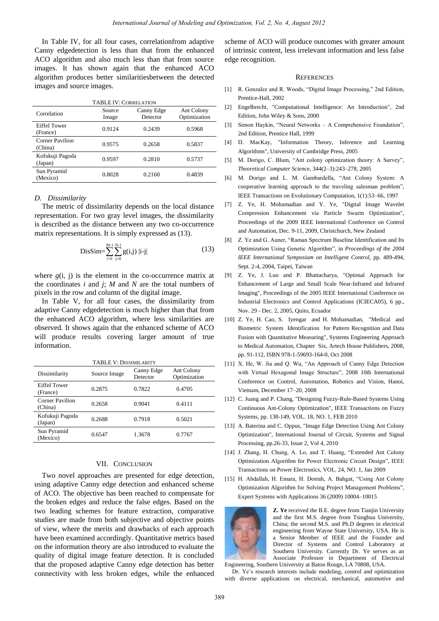In Table IV, for all four cases, correlationfrom adaptive Canny edgedetection is less than that from the enhanced ACO algorithm and also much less than that from source images. It has shown again that the enhanced ACO algorithm produces better similaritiesbetween the detected images and source images.

| <b>TABLE IV: CORRELATION</b>    |                 |                        |                            |
|---------------------------------|-----------------|------------------------|----------------------------|
| Correlation                     | Source<br>Image | Canny Edge<br>Detector | Ant Colony<br>Optimization |
| <b>Eiffel Tower</b><br>(France) | 0.9124          | 0.2439                 | 0.5968                     |
| Corner Pavilion<br>(China)      | 0.9575          | 0.2658                 | 0.5837                     |
| Kofukuji Pagoda<br>(Japan)      | 0.9597          | 0.2810                 | 0.5737                     |
| Sun Pyramid<br>(Mexico)         | 0.8028          | 0.2160                 | 0.4839                     |

## *D. Dissimilarity*

The metric of dissimilarity depends on the local distance representation. For two gray level images, the dissimilarity is described as the distance between any two co-occurrence matrix representations. It is simply expressed as (13).

$$
DisSim = \sum_{i=0}^{M-1} \sum_{j=0}^{N-1} g(i,j) |i-j|
$$
 (13)

where  $g(i, j)$  is the element in the co-occurrence matrix at the coordinates *i* and *j*; *M* and *N* are the total numbers of pixels in the row and column of the digital image.

In Table V, for all four cases, the dissimilarity from adaptive Canny edgedetection is much higher than that from the enhanced ACO algorithm, where less similarities are observed. It shows again that the enhanced scheme of ACO will produce results covering larger amount of true information.

| <b>TABLE V: DISSIMILARITY</b>     |              |                        |                            |
|-----------------------------------|--------------|------------------------|----------------------------|
| Dissimilarity                     | Source Image | Canny Edge<br>Detector | Ant Colony<br>Optimization |
| <b>Eiffel Tower</b><br>(France)   | 0.2875       | 0.7822                 | 0.4705                     |
| <b>Corner Pavilion</b><br>(China) | 0.2658       | 0.9041                 | 0.4111                     |
| Kofukuji Pagoda<br>(Japan)        | 0.2688       | 0.7918                 | 0.5021                     |
| Sun Pyramid<br>(Mexico)           | 0.6547       | 1.3678                 | 0.7767                     |

## VII. CONCLUSION

Two novel approaches are presented for edge detection, using adaptive Canny edge detection and enhanced scheme of ACO. The objective has been reached to compensate for the broken edges and reduce the false edges. Based on the two leading schemes for feature extraction, comparative studies are made from both subjective and objective points of view, where the merits and drawbacks of each approach have been examined accordingly. Quantitative metrics based on the information theory are also introduced to evaluate the quality of digital image feature detection. It is concluded that the proposed adaptive Canny edge detection has better connectivity with less broken edges, while the enhanced scheme of ACO will produce outcomes with greater amount of intrinsic content, less irrelevant information and less false edge recognition.

## **REFERENCES**

- [1] R. Gonzalez and R. Woods, "Digital Image Processing," 2nd Edition, Prentice-Hall, 2002
- [2] Engelbrecht, "Computational Intelligence: An Introduction", 2nd Edition, John Wiley & Sons, 2000
- [3] Simon Haykin, "Neural Networks A Comprehensive Foundation", 2nd Edition, Prentice Hall, 1999
- [4] D. MacKay, "Information Theory, Inference and Learning Algorithms", University of Cambridge Press, 2005
- [5] M. Dorigo, C. Blum, "Ant colony optimization theory: A Survey", *Theoretical Computer Science*, 344(2–3):243–278, 2005
- [6] M. Dorigo and L. M. Gambardella, "Ant Colony System: A cooperative learning approach to the traveling salesman problem", IEEE Transactions on Evolutionary Computation, 1(1):53–66, 1997
- [7] Z. Ye, H. Mohamadian and Y. Ye, "Digital Image Wavelet Compression Enhancement via Particle Swarm Optimization", Proceedings of the 2009 IEEE International Conference on Control and Automation, Dec. 9-11, 2009, Christchurch, New Zealand
- [8] Z. Ye and G. Auner, "Raman Spectrum Baseline Identification and Its Optimization Using Genetic Algorithm", in *Proceedings of the 2004 IEEE International Symposium on Intelligent Control*, pp. 489-494, Sept. 2-4, 2004, Taipei, Taiwan
- [9] Z. Ye, J. Luo and P. Bhattacharya, "Optimal Approach for Enhancement of Large and Small Scale Near-Infrared and Infrared Imaging", Proceedings of the 2005 IEEE International Conference on Industrial Electronics and Control Applications (ICIECA05), 6 pp., Nov. 29 - Dec. 2, 2005, Quito, Ecuador
- [10] Z. Ye, H. Cao, S. Iyengar and H. Mohamadian, "Medical and Biometric System Identification for Pattern Recognition and Data Fusion with Quantitative Measuring", Systems Engineering Approach to Medical Automation, Chapter Six, Artech House Publishers, 2008, pp. 91-112, ISBN 978-1-59693-164-0, Oct 2008
- [11] X. He, W. Jia and Q. Wu, "An Approach of Canny Edge Detection with Virtual Hexagonal Image Structure", 2008 10th International Conference on Control, Automation, Robotics and Vision, Hanoi, Vietnam, December 17–20, 2008
- [12] C. Juang and P. Chang, "Designing Fuzzy-Rule-Based Systems Using Continuous Ant-Colony Optimization", IEEE Transactions on Fuzzy Systems, pp. 138-149, VOL. 18, NO. 1, FEB 2010
- [13] A. Baterina and C. Oppus, "Image Edge Detection Using Ant Colony Optimization", International Journal of Circuit, Systems and Signal Processing, pp.26-33, Issue 2, Vol 4, 2010
- [14] J. Zhang, H. Chung, A. Lo, and T. Huang, "Extended Ant Colony Optimization Algorithm for Power Electronic Circuit Design", IEEE Transactions on Power Electronics, VOL. 24, NO. 1, Jan 2009
- [15] H. Abdallah, H. Emara, H. Dorrah, A. Bahgat, "Using Ant Colony Optimization Algorithm for Solving Project Management Problems", Expert Systems with Applications 36 (2009) 10004–10015



**Z. Ye** received the B.E. degree from Tianjin University and the first M.S. degree from Tsinghua University, China; the second M.S. and Ph.D degrees in electrical engineering from Wayne State University, USA. He is a Senior Member of IEEE and the Founder and Director of Systems and Control Laboratory at Southern University. Currently Dr. Ye serves as an Associate Professor in Department of Electrical

Engineering, Southern University at Baton Rouge, LA 70808, USA.

Dr. Ye's research interests include modeling, control and optimization with diverse applications on electrical, mechanical, automotive and